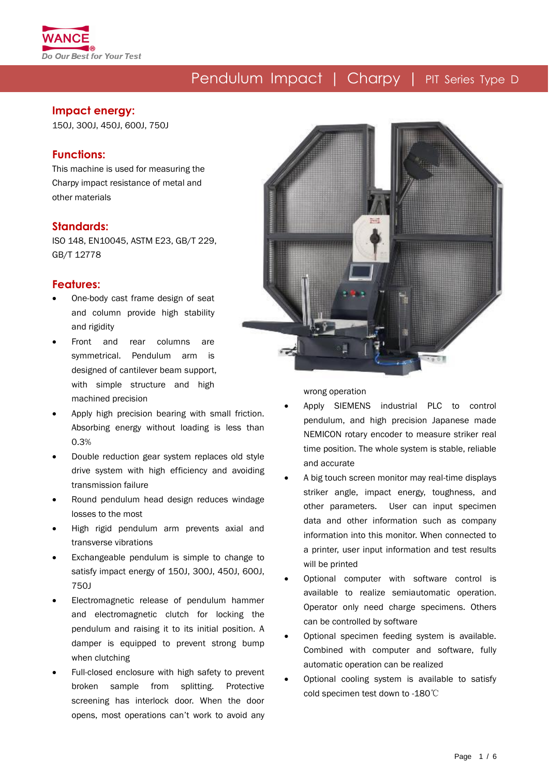

#### **Impact energy:**

150J, 300J, 450J, 600J, 750J

### **Functions:**

This machine is used for measuring the Charpy impact resistance of metal and other materials

### **Standards:**

ISO 148, EN10045, ASTM E23, GB/T 229, GB/T 12778

#### **Features:**

- One-body cast frame design of seat and column provide high stability and rigidity
- Front and rear columns are symmetrical. Pendulum arm is designed of cantilever beam support, with simple structure and high machined precision
- Apply high precision bearing with small friction. Absorbing energy without loading is less than 0.3%
- Double reduction gear system replaces old style drive system with high efficiency and avoiding transmission failure
- Round pendulum head design reduces windage losses to the most
- High rigid pendulum arm prevents axial and transverse vibrations
- Exchangeable pendulum is simple to change to satisfy impact energy of 150J, 300J, 450J, 600J, 750J
- Electromagnetic release of pendulum hammer and electromagnetic clutch for locking the pendulum and raising it to its initial position. A damper is equipped to prevent strong bump when clutching
- Full-closed enclosure with high safety to prevent broken sample from splitting. Protective screening has interlock door. When the door opens, most operations can't work to avoid any



wrong operation

- Apply SIEMENS industrial PLC to control pendulum, and high precision Japanese made NEMICON rotary encoder to measure striker real time position. The whole system is stable, reliable and accurate
- A big touch screen monitor may real-time displays striker angle, impact energy, toughness, and other parameters. User can input specimen data and other information such as company information into this monitor. When connected to a printer, user input information and test results will be printed
- Optional computer with software control is available to realize semiautomatic operation. Operator only need charge specimens. Others can be controlled by software
- Optional specimen feeding system is available. Combined with computer and software, fully automatic operation can be realized
- Optional cooling system is available to satisfy cold specimen test down to -180℃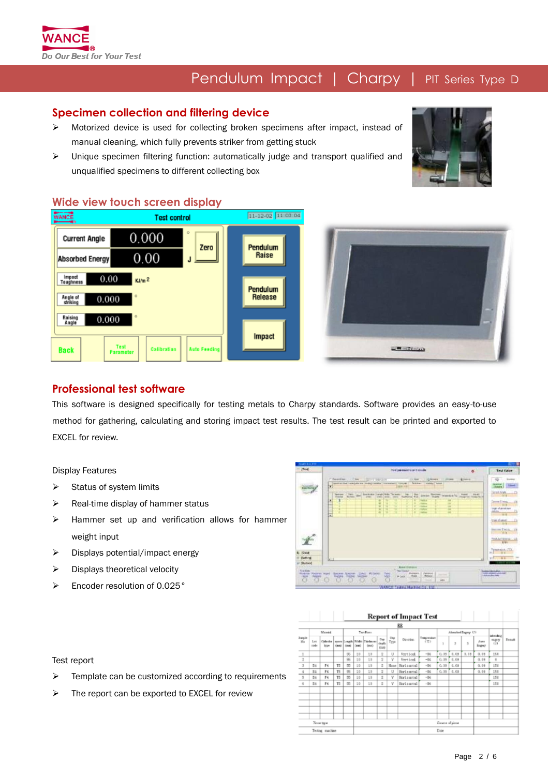

### **Specimen collection and filtering device**

- $\triangleright$  Motorized device is used for collecting broken specimens after impact, instead of manual cleaning, which fully prevents striker from getting stuck
- Unique specimen filtering function: automatically judge and transport qualified and unqualified specimens to different collecting box



### **Wide view touch screen display**





### **Professional test software**

This software is designed specifically for testing metals to Charpy standards. Software provides an easy-to-use method for gathering, calculating and storing impact test results. The test result can be printed and exported to EXCEL for review.

Display Features

- $\triangleright$  Status of system limits
- $\triangleright$  Real-time display of hammer status
- $\triangleright$  Hammer set up and verification allows for hammer weight input
- $\triangleright$  Displays potential/impact energy
- $\triangleright$  Displays theoretical velocity
- Encoder resolution of 0.025°

| ffest             | Controllements to sent consider<br>$\bullet$                                                                | <b>Test Value</b>                                    |
|-------------------|-------------------------------------------------------------------------------------------------------------|------------------------------------------------------|
|                   | anywhere the transmission in the content of the content of the content of the content of<br>Lighter Listers | $-13 -$<br>Espinar                                   |
| <b>Timber</b>     | 団<br><b>NEALLY</b>                                                                                          | <b>Taken</b><br>---<br><b>Itemes</b>                 |
|                   | have the de books out-the house is the first factor worker's had that the                                   | $\mathbb{Z} \times \mathbb{Z}$<br>ScatAble<br>- 1111 |
|                   | Ŧ<br><b>Tarring</b><br>٠<br><b>TERRITA</b>                                                                  | lenn fring.                                          |
|                   | ×<br><b>TOTAL</b><br>٠<br>×<br>×<br><b>TELESCO</b>                                                          | <b>Little Co</b><br>logical and producer             |
|                   | ×<br>둌<br><b>CALL OF</b>                                                                                    | inkels.                                              |
|                   | ₩                                                                                                           | $-1111$                                              |
|                   |                                                                                                             | <b>Zontal pinet</b><br>$n = nq$                      |
|                   |                                                                                                             | Assessed Delty, Ltd.<br><b>Controller State</b>      |
|                   |                                                                                                             | Post-Art Energy 193                                  |
|                   |                                                                                                             | $-191$                                               |
|                   |                                                                                                             | Temmun. (T2)                                         |
| 2.7244            |                                                                                                             | <b>ALC: YES</b>                                      |
| [ Elatting]       | <b>LL</b><br>л                                                                                              | When we are                                          |
|                   |                                                                                                             |                                                      |
| <b>IT COVEAN!</b> |                                                                                                             | <b>CONTRACTOR</b>                                    |

**SERIES E POINT DESCRIPTION** 

|                            |             |                          |               |             |       |                                   |                       |             | BB.        |                   |                 |      |      |                       |                              |               |
|----------------------------|-------------|--------------------------|---------------|-------------|-------|-----------------------------------|-----------------------|-------------|------------|-------------------|-----------------|------|------|-----------------------|------------------------------|---------------|
|                            | Messia      |                          | Test Piano    |             |       |                                   | Albanybad Bogary 173  |             |            |                   |                 |      |      |                       |                              |               |
| 3 anglis<br>86             | Let<br>sode | Collection<br><b>Bow</b> | <b>Castle</b> | <b>CAMP</b> | Ones) | more Cough Wide Thirlecon<br>(mo) | Our<br>deptis<br>(na) | One<br>Type | Direction. | Traspendum<br>CU) | T.              | þ,   | 3    | <b>June</b><br>Sugery | admidwa<br>mper<br><b>CD</b> | <b>French</b> |
| $\sim$<br>$\_1$            |             |                          |               | 96          | $10-$ | 10                                | $\overline{2}$        | U           | Vertical   | $-84$             | 0.09            | 0.08 | 3,09 | 0,09                  | 160                          |               |
| $\ensuremath{\mathcal{Z}}$ |             |                          |               | 96          | $10-$ | 10                                | $\dot{2}$             | ٧           | Vertical   | $-84$             | 0,09            | 0.08 |      | 0,09                  | Ú.                           |               |
| $\overline{3}$             | D4          | F4                       | TE.           | 怎           | 10    | Lũ                                | $\bar{2}$             | Nose        | Horizaroal | $-24$             | 0.09            | 0.09 |      | 0.09                  | 150                          |               |
| $\tilde{u}$                | 34          | F4                       | TS.           | 55          | 10    | 10                                | $\overline{2}$        | U           | Horizontal | $-34$             | 0,09            | 1.09 |      | 0.09                  | 150                          |               |
| $\overline{5}$             | Z4          | F4                       | TE.           | 怎           | 10    | 10                                | $\mathfrak{D}$        | v           | Horizontal | $-24$             |                 |      |      |                       | 150                          |               |
| 6                          | E4          | F4                       | TS-           | 怎           | $10-$ | 10                                | $\overline{2}$        | V           | Horizonnal | $-34$             |                 |      |      |                       | 150                          |               |
|                            |             |                          |               |             |       |                                   |                       |             |            |                   |                 |      |      |                       |                              |               |
|                            |             |                          |               |             |       |                                   |                       |             |            |                   |                 |      |      |                       |                              |               |
|                            |             | <b>Finis lope</b>        |               |             |       |                                   |                       |             |            |                   | Surane of given |      |      |                       |                              |               |

#### Test report

- $\triangleright$  Template can be customized according to requirements
- $\triangleright$  The report can be exported to EXCEL for review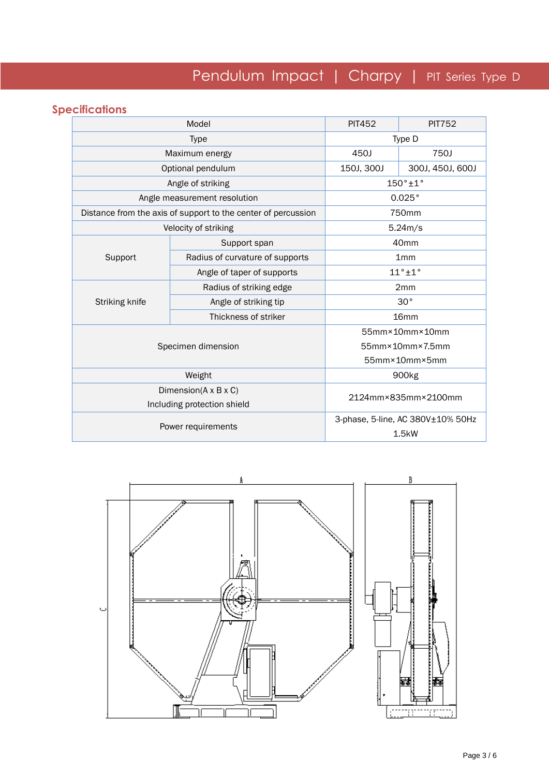## **Specifications**

|                | Model                                                         | <b>PIT452</b>     | <b>PIT752</b>                     |  |
|----------------|---------------------------------------------------------------|-------------------|-----------------------------------|--|
|                | Type                                                          | Type D            |                                   |  |
|                | Maximum energy                                                | 450J              | 750J                              |  |
|                | Optional pendulum                                             | 150J, 300J        | 300J, 450J, 600J                  |  |
|                | Angle of striking                                             | $150° \pm 1°$     |                                   |  |
|                | Angle measurement resolution                                  | 0.025°            |                                   |  |
|                | Distance from the axis of support to the center of percussion |                   | 750mm                             |  |
|                | Velocity of striking                                          |                   | 5.24m/s                           |  |
|                | Support span                                                  |                   | 40mm                              |  |
| Support        | Radius of curvature of supports                               | 1mm               |                                   |  |
|                | Angle of taper of supports                                    | $11°+1°$          |                                   |  |
|                | Radius of striking edge                                       |                   | 2mm                               |  |
| Striking knife | Angle of striking tip                                         | 30°               |                                   |  |
|                | Thickness of striker                                          |                   | 16 <sub>mm</sub>                  |  |
|                |                                                               | 55mm×10mm×10mm    |                                   |  |
|                | Specimen dimension                                            | 55mm×10mm×7.5mm   |                                   |  |
|                |                                                               | 55mm×10mm×5mm     |                                   |  |
|                | Weight                                                        | 900 <sub>kg</sub> |                                   |  |
|                | Dimension( $A \times B \times C$ )                            |                   | 2124mm×835mm×2100mm               |  |
|                | Including protection shield                                   |                   |                                   |  |
|                | Power requirements                                            |                   | 3-phase, 5-line, AC 380V±10% 50Hz |  |
|                |                                                               |                   | 1.5kW                             |  |

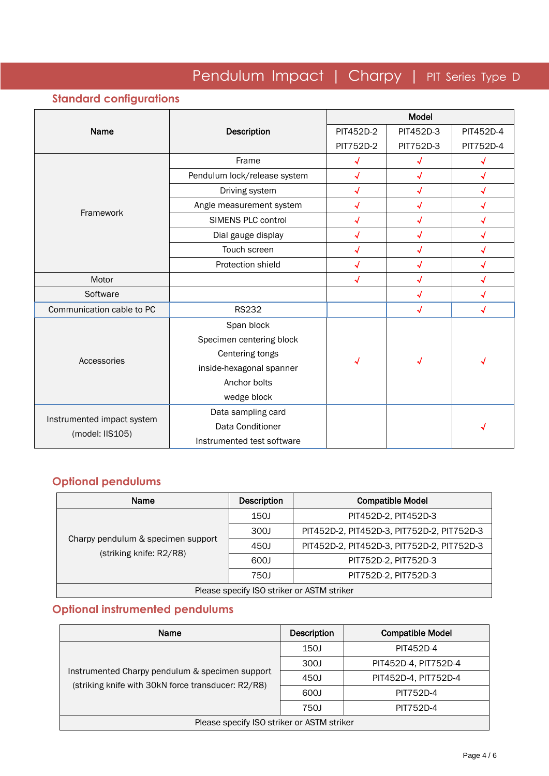## **Standard configurations**

|                                               |                              | Model                      |            |                          |  |
|-----------------------------------------------|------------------------------|----------------------------|------------|--------------------------|--|
| Name                                          | Description                  | PIT452D-2                  | PIT452D-3  | PIT452D-4                |  |
|                                               |                              | PIT752D-2                  | PIT752D-3  | PIT752D-4                |  |
|                                               | Frame                        | √                          |            |                          |  |
|                                               | Pendulum lock/release system | $\overline{\bm{v}}$        | J          | $\sqrt{ }$               |  |
|                                               | Driving system               | √                          | √          | √                        |  |
|                                               | Angle measurement system     | $\overline{\bm{v}}$        | $\sqrt{ }$ | √                        |  |
| Framework                                     | SIMENS PLC control           | $\overline{\mathcal{A}}$   |            |                          |  |
|                                               | Dial gauge display           | √                          | √          | √                        |  |
|                                               | Touch screen                 | √                          | √          | $\overline{\mathcal{A}}$ |  |
|                                               | Protection shield            | √                          |            | √                        |  |
| Motor                                         |                              | $\boldsymbol{\mathcal{N}}$ | $\sqrt{2}$ | √                        |  |
| Software                                      |                              |                            | √          | √                        |  |
| Communication cable to PC                     | <b>RS232</b>                 |                            | √          | √                        |  |
|                                               | Span block                   |                            |            |                          |  |
|                                               | Specimen centering block     |                            |            |                          |  |
| Accessories                                   | Centering tongs              |                            |            |                          |  |
|                                               | inside-hexagonal spanner     | Ñ                          |            |                          |  |
|                                               | Anchor bolts                 |                            |            |                          |  |
|                                               | wedge block                  |                            |            |                          |  |
|                                               | Data sampling card           |                            |            |                          |  |
| Instrumented impact system<br>(model: IIS105) | Data Conditioner             |                            |            |                          |  |
|                                               | Instrumented test software   |                            |            |                          |  |

## **Optional pendulums**

| Name                                                          | Description | <b>Compatible Model</b>                    |  |  |  |
|---------------------------------------------------------------|-------------|--------------------------------------------|--|--|--|
|                                                               | 150J        | PIT452D-2, PIT452D-3                       |  |  |  |
|                                                               | 300J        | PIT452D-2, PIT452D-3, PIT752D-2, PIT752D-3 |  |  |  |
| Charpy pendulum & specimen support<br>(striking knife: R2/R8) | 450J        | PIT452D-2, PIT452D-3, PIT752D-2, PIT752D-3 |  |  |  |
|                                                               | 600J        | PIT752D-2, PIT752D-3                       |  |  |  |
|                                                               | 750J        | PIT752D-2, PIT752D-3                       |  |  |  |
| Please specify ISO striker or ASTM striker                    |             |                                            |  |  |  |

### **Optional instrumented pendulums**

| Name                                                                                                  | <b>Description</b> | <b>Compatible Model</b> |  |  |  |
|-------------------------------------------------------------------------------------------------------|--------------------|-------------------------|--|--|--|
|                                                                                                       | 150J               | PIT452D-4               |  |  |  |
|                                                                                                       | 300J               | PIT452D-4, PIT752D-4    |  |  |  |
| Instrumented Charpy pendulum & specimen support<br>(striking knife with 30kN force transducer: R2/R8) | 450J               | PIT452D-4, PIT752D-4    |  |  |  |
|                                                                                                       | 600J               | PIT752D-4               |  |  |  |
|                                                                                                       | 750J               | PIT752D-4               |  |  |  |
| Please specify ISO striker or ASTM striker                                                            |                    |                         |  |  |  |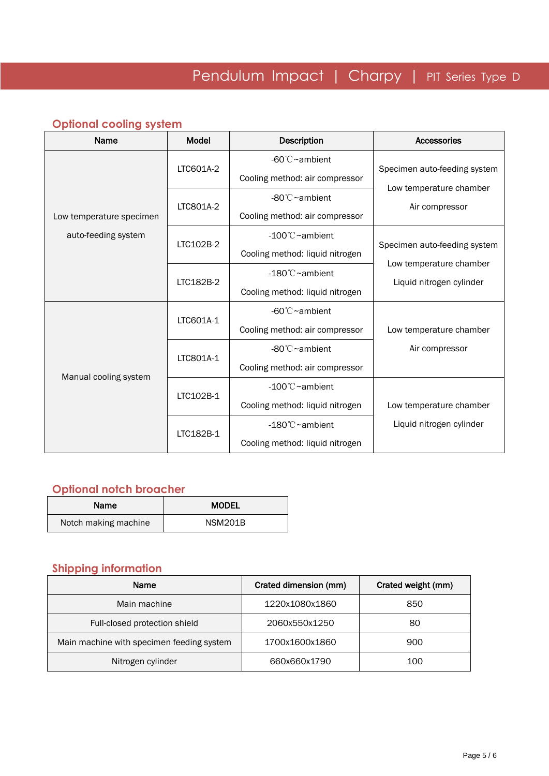## **Optional cooling system**

| Name                     | Model     | <b>Description</b>              | <b>Accessories</b>           |  |
|--------------------------|-----------|---------------------------------|------------------------------|--|
|                          | LTC601A-2 | $-60^{\circ}$ $\sim$ ambient    | Specimen auto-feeding system |  |
|                          |           | Cooling method: air compressor  |                              |  |
|                          | LTC801A-2 | $-80^{\circ}$ C $\sim$ ambient  | Low temperature chamber      |  |
| Low temperature specimen |           | Cooling method: air compressor  | Air compressor               |  |
| auto-feeding system      | LTC102B-2 | $-100^{\circ}$ C ~ambient       |                              |  |
|                          |           | Cooling method: liquid nitrogen | Specimen auto-feeding system |  |
|                          | LTC182B-2 | $-180^{\circ}$ C ~ambient       | Low temperature chamber      |  |
|                          |           | Cooling method: liquid nitrogen | Liquid nitrogen cylinder     |  |
|                          | LTC601A-1 | $-60^{\circ}$ C $\sim$ ambient  |                              |  |
|                          |           | Cooling method: air compressor  | Low temperature chamber      |  |
|                          |           | -80°C~ambient                   | Air compressor               |  |
|                          | LTC801A-1 | Cooling method: air compressor  |                              |  |
| Manual cooling system    |           | $-100^{\circ}$ C ~ambient       |                              |  |
|                          | LTC102B-1 | Cooling method: liquid nitrogen | Low temperature chamber      |  |
|                          |           | $-180^{\circ}$ C ~ambient       | Liquid nitrogen cylinder     |  |
|                          | LTC182B-1 | Cooling method: liquid nitrogen |                              |  |

### **Optional notch broacher**

| Name                 | <b>MODEL</b>   |  |  |
|----------------------|----------------|--|--|
| Notch making machine | <b>NSM201B</b> |  |  |

### **Shipping information**

| Name                                      | Crated dimension (mm) | Crated weight (mm) |
|-------------------------------------------|-----------------------|--------------------|
| Main machine                              | 1220x1080x1860        | 850                |
| Full-closed protection shield             | 2060x550x1250         | 80                 |
| Main machine with specimen feeding system | 1700x1600x1860        | 900                |
| Nitrogen cylinder                         | 660x660x1790          | 100                |